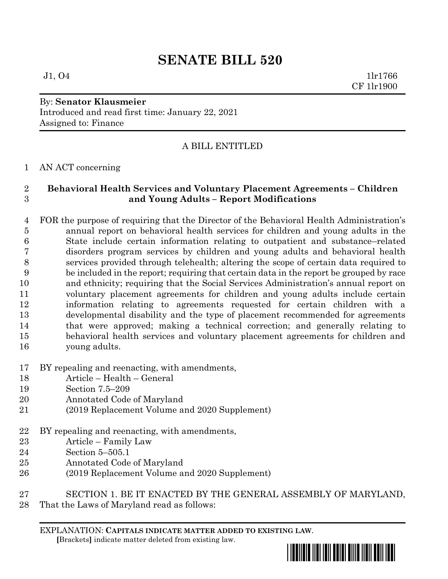# **SENATE BILL 520**

 $J1, O4$  1lr1766 CF 1lr1900

#### By: **Senator Klausmeier** Introduced and read first time: January 22, 2021 Assigned to: Finance

# A BILL ENTITLED

## AN ACT concerning

# **Behavioral Health Services and Voluntary Placement Agreements – Children and Young Adults – Report Modifications**

- FOR the purpose of requiring that the Director of the Behavioral Health Administration's annual report on behavioral health services for children and young adults in the State include certain information relating to outpatient and substance–related disorders program services by children and young adults and behavioral health services provided through telehealth; altering the scope of certain data required to be included in the report; requiring that certain data in the report be grouped by race and ethnicity; requiring that the Social Services Administration's annual report on voluntary placement agreements for children and young adults include certain information relating to agreements requested for certain children with a developmental disability and the type of placement recommended for agreements that were approved; making a technical correction; and generally relating to behavioral health services and voluntary placement agreements for children and young adults.
- BY repealing and reenacting, with amendments,
- Article Health General
- Section 7.5–209
- Annotated Code of Maryland
- (2019 Replacement Volume and 2020 Supplement)
- BY repealing and reenacting, with amendments,
- Article Family Law
- Section 5–505.1
- Annotated Code of Maryland
- (2019 Replacement Volume and 2020 Supplement)
- SECTION 1. BE IT ENACTED BY THE GENERAL ASSEMBLY OF MARYLAND,
- That the Laws of Maryland read as follows:

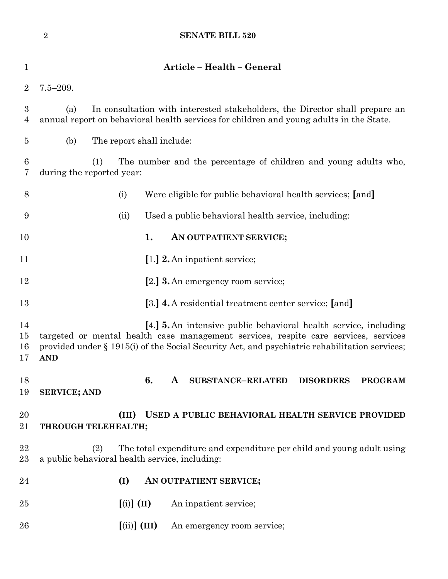|                                    | $\sqrt{2}$                                                                                                                                                                                                                                                                    |                                                      | <b>SENATE BILL 520</b>                                                               |  |  |  |  |  |  |
|------------------------------------|-------------------------------------------------------------------------------------------------------------------------------------------------------------------------------------------------------------------------------------------------------------------------------|------------------------------------------------------|--------------------------------------------------------------------------------------|--|--|--|--|--|--|
| 1                                  |                                                                                                                                                                                                                                                                               |                                                      | Article - Health - General                                                           |  |  |  |  |  |  |
| $\overline{2}$                     | $7.5 - 209.$                                                                                                                                                                                                                                                                  |                                                      |                                                                                      |  |  |  |  |  |  |
| $\boldsymbol{3}$<br>$\overline{4}$ | In consultation with interested stakeholders, the Director shall prepare an<br>(a)<br>annual report on behavioral health services for children and young adults in the State.                                                                                                 |                                                      |                                                                                      |  |  |  |  |  |  |
| 5                                  | (b)                                                                                                                                                                                                                                                                           | The report shall include:                            |                                                                                      |  |  |  |  |  |  |
| $\boldsymbol{6}$<br>7              | The number and the percentage of children and young adults who,<br>(1)<br>during the reported year:                                                                                                                                                                           |                                                      |                                                                                      |  |  |  |  |  |  |
| $8\,$                              |                                                                                                                                                                                                                                                                               | (i)                                                  | Were eligible for public behavioral health services; [and]                           |  |  |  |  |  |  |
| 9                                  |                                                                                                                                                                                                                                                                               | (ii)                                                 | Used a public behavioral health service, including:                                  |  |  |  |  |  |  |
| 10                                 |                                                                                                                                                                                                                                                                               |                                                      | 1.<br>AN OUTPATIENT SERVICE;                                                         |  |  |  |  |  |  |
| 11                                 |                                                                                                                                                                                                                                                                               |                                                      | [1.] 2. An inpatient service;                                                        |  |  |  |  |  |  |
| 12                                 |                                                                                                                                                                                                                                                                               |                                                      | [2.] <b>3.</b> An emergency room service;                                            |  |  |  |  |  |  |
| 13                                 |                                                                                                                                                                                                                                                                               |                                                      | [3.] 4. A residential treatment center service; [and]                                |  |  |  |  |  |  |
| 14<br>15<br>16<br>17               | [4.] <b>5.</b> An intensive public behavioral health service, including<br>targeted or mental health case management services, respite care services, services<br>provided under § 1915(i) of the Social Security Act, and psychiatric rehabilitation services;<br><b>AND</b> |                                                      |                                                                                      |  |  |  |  |  |  |
| 18<br>19                           | <b>SERVICE; AND</b>                                                                                                                                                                                                                                                           |                                                      | 6.<br>$\mathbf{A}$<br><b>SUBSTANCE-RELATED</b><br><b>DISORDERS</b><br><b>PROGRAM</b> |  |  |  |  |  |  |
| 20<br>21                           |                                                                                                                                                                                                                                                                               | (III)<br>THROUGH TELEHEALTH;                         | USED A PUBLIC BEHAVIORAL HEALTH SERVICE PROVIDED                                     |  |  |  |  |  |  |
| 22<br>23                           | The total expenditure and expenditure per child and young adult using<br>(2)<br>a public behavioral health service, including:                                                                                                                                                |                                                      |                                                                                      |  |  |  |  |  |  |
| 24                                 |                                                                                                                                                                                                                                                                               | (I)                                                  | AN OUTPATIENT SERVICE;                                                               |  |  |  |  |  |  |
| 25                                 |                                                                                                                                                                                                                                                                               | $\left[ \text{(i)} \right] \left( \text{II} \right)$ | An inpatient service;                                                                |  |  |  |  |  |  |
| 26                                 |                                                                                                                                                                                                                                                                               | $\left[\text{(ii)}\right]$ (III)                     | An emergency room service;                                                           |  |  |  |  |  |  |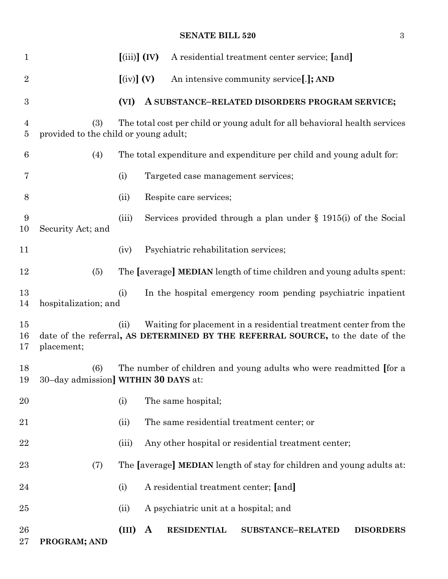## **SENATE BILL 520** 3

| $\mathbf{1}$       |                                                                                                                            | $(iii)$ $(IV)$                 |              |                                       | A residential treatment center service; [and]                                                                                                      |                  |  |
|--------------------|----------------------------------------------------------------------------------------------------------------------------|--------------------------------|--------------|---------------------------------------|----------------------------------------------------------------------------------------------------------------------------------------------------|------------------|--|
| $\overline{2}$     |                                                                                                                            | $\left[\text{(iv)}\right]$ (V) |              |                                       | An intensive community service[.]; AND                                                                                                             |                  |  |
| $\boldsymbol{3}$   |                                                                                                                            | (VI)                           |              |                                       | A SUBSTANCE-RELATED DISORDERS PROGRAM SERVICE;                                                                                                     |                  |  |
| 4<br>5             | The total cost per child or young adult for all behavioral health services<br>(3)<br>provided to the child or young adult; |                                |              |                                       |                                                                                                                                                    |                  |  |
| 6                  | (4)                                                                                                                        |                                |              |                                       | The total expenditure and expenditure per child and young adult for:                                                                               |                  |  |
| 7                  |                                                                                                                            | (i)                            |              | Targeted case management services;    |                                                                                                                                                    |                  |  |
| 8                  |                                                                                                                            | (ii)                           |              | Respite care services;                |                                                                                                                                                    |                  |  |
| 9<br>10            | Security Act; and                                                                                                          | (iii)                          |              |                                       | Services provided through a plan under $\S$ 1915(i) of the Social                                                                                  |                  |  |
| 11                 |                                                                                                                            | (iv)                           |              | Psychiatric rehabilitation services;  |                                                                                                                                                    |                  |  |
| 12                 | (5)                                                                                                                        |                                |              |                                       | The [average] MEDIAN length of time children and young adults spent:                                                                               |                  |  |
| 13<br>14           | hospitalization; and                                                                                                       | (i)                            |              |                                       | In the hospital emergency room pending psychiatric inpatient                                                                                       |                  |  |
| $15\,$<br>16<br>17 | placement;                                                                                                                 | (ii)                           |              |                                       | Waiting for placement in a residential treatment center from the<br>date of the referral, AS DETERMINED BY THE REFERRAL SOURCE, to the date of the |                  |  |
| 18<br>19           | The number of children and young adults who were readmitted [for a<br>(6)<br>30-day admission] WITHIN 30 DAYS at:          |                                |              |                                       |                                                                                                                                                    |                  |  |
| 20                 |                                                                                                                            | (i)                            |              | The same hospital;                    |                                                                                                                                                    |                  |  |
| 21                 |                                                                                                                            | (ii)                           |              |                                       | The same residential treatment center; or                                                                                                          |                  |  |
| 22                 |                                                                                                                            | (iii)                          |              |                                       | Any other hospital or residential treatment center;                                                                                                |                  |  |
| 23                 | (7)                                                                                                                        |                                |              |                                       | The [average] MEDIAN length of stay for children and young adults at:                                                                              |                  |  |
| 24                 |                                                                                                                            | (i)                            |              | A residential treatment center; [and] |                                                                                                                                                    |                  |  |
| $25\,$             |                                                                                                                            | (ii)                           |              | A psychiatric unit at a hospital; and |                                                                                                                                                    |                  |  |
| 26<br>$27\,$       | PROGRAM; AND                                                                                                               | (III)                          | $\mathbf{A}$ | <b>RESIDENTIAL</b>                    | <b>SUBSTANCE-RELATED</b>                                                                                                                           | <b>DISORDERS</b> |  |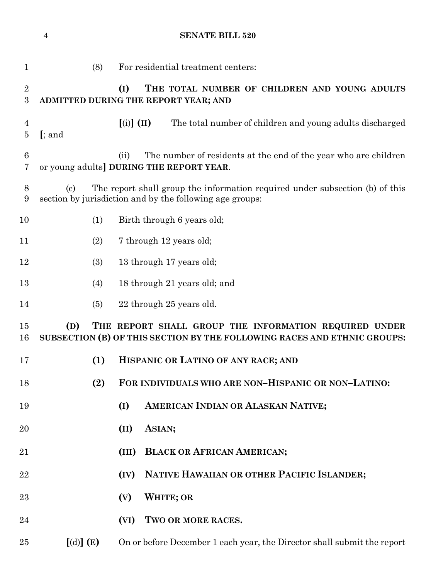|                                  | $\overline{4}$                                                                                                                           |                                                                                              | <b>SENATE BILL 520</b>                                                                                                                   |  |  |  |  |  |
|----------------------------------|------------------------------------------------------------------------------------------------------------------------------------------|----------------------------------------------------------------------------------------------|------------------------------------------------------------------------------------------------------------------------------------------|--|--|--|--|--|
| $\mathbf{1}$                     |                                                                                                                                          | (8)                                                                                          | For residential treatment centers:                                                                                                       |  |  |  |  |  |
| $\sqrt{2}$<br>3                  |                                                                                                                                          | (I)<br>THE TOTAL NUMBER OF CHILDREN AND YOUNG ADULTS<br>ADMITTED DURING THE REPORT YEAR; AND |                                                                                                                                          |  |  |  |  |  |
| $\overline{4}$<br>$\overline{5}$ | $[$ ; and                                                                                                                                |                                                                                              | $\left[ \text{(i)} \right] \left( \text{II} \right)$<br>The total number of children and young adults discharged                         |  |  |  |  |  |
| $\,6$<br>$\overline{7}$          |                                                                                                                                          |                                                                                              | The number of residents at the end of the year who are children<br>(ii)<br>or young adults] DURING THE REPORT YEAR.                      |  |  |  |  |  |
| 8<br>9                           | $\left( \mathrm{c}\right)$                                                                                                               |                                                                                              | The report shall group the information required under subsection (b) of this<br>section by jurisdiction and by the following age groups: |  |  |  |  |  |
| 10                               |                                                                                                                                          | (1)<br>Birth through 6 years old;                                                            |                                                                                                                                          |  |  |  |  |  |
| 11                               |                                                                                                                                          | (2)                                                                                          | 7 through 12 years old;                                                                                                                  |  |  |  |  |  |
| 12                               |                                                                                                                                          | (3)                                                                                          | 13 through 17 years old;                                                                                                                 |  |  |  |  |  |
| 13                               |                                                                                                                                          | (4)                                                                                          | 18 through 21 years old; and                                                                                                             |  |  |  |  |  |
| 14                               |                                                                                                                                          | (5)                                                                                          | 22 through 25 years old.                                                                                                                 |  |  |  |  |  |
| 15<br>16                         | (D)<br>THE REPORT SHALL GROUP THE INFORMATION REQUIRED UNDER<br>SUBSECTION (B) OF THIS SECTION BY THE FOLLOWING RACES AND ETHNIC GROUPS: |                                                                                              |                                                                                                                                          |  |  |  |  |  |
| 17                               |                                                                                                                                          | (1)                                                                                          | HISPANIC OR LATINO OF ANY RACE; AND                                                                                                      |  |  |  |  |  |
| 18                               |                                                                                                                                          | (2)                                                                                          | FOR INDIVIDUALS WHO ARE NON-HISPANIC OR NON-LATINO:                                                                                      |  |  |  |  |  |
| 19                               |                                                                                                                                          |                                                                                              | AMERICAN INDIAN OR ALASKAN NATIVE;<br>(I)                                                                                                |  |  |  |  |  |
| 20                               |                                                                                                                                          |                                                                                              | ASIAN;<br>(II)                                                                                                                           |  |  |  |  |  |
| 21                               |                                                                                                                                          |                                                                                              | <b>BLACK OR AFRICAN AMERICAN;</b><br>(III)                                                                                               |  |  |  |  |  |
| 22                               |                                                                                                                                          |                                                                                              | NATIVE HAWAIIAN OR OTHER PACIFIC ISLANDER;<br>(IV)                                                                                       |  |  |  |  |  |
| 23                               |                                                                                                                                          |                                                                                              | <b>WHITE; OR</b><br>(V)                                                                                                                  |  |  |  |  |  |
| 24                               |                                                                                                                                          |                                                                                              | TWO OR MORE RACES.<br>(VI)                                                                                                               |  |  |  |  |  |
| 25                               | [(d)] (E)                                                                                                                                |                                                                                              | On or before December 1 each year, the Director shall submit the report                                                                  |  |  |  |  |  |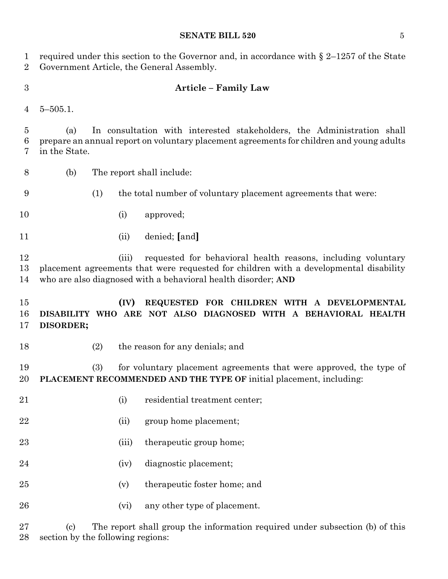#### **SENATE BILL 520** 5

 required under this section to the Governor and, in accordance with § 2–1257 of the State Government Article, the General Assembly.

#### **Article – Family Law**

5–505.1.

 (a) In consultation with interested stakeholders, the Administration shall prepare an annual report on voluntary placement agreements for children and young adults in the State.

- (b) The report shall include:
- (1) the total number of voluntary placement agreements that were:
- (i) approved;
- (ii) denied; **[**and**]**

 (iii) requested for behavioral health reasons, including voluntary placement agreements that were requested for children with a developmental disability who are also diagnosed with a behavioral health disorder; **AND**

 **(IV) REQUESTED FOR CHILDREN WITH A DEVELOPMENTAL DISABILITY WHO ARE NOT ALSO DIAGNOSED WITH A BEHAVIORAL HEALTH DISORDER;**

- 
- (2) the reason for any denials; and

 (3) for voluntary placement agreements that were approved, the type of **PLACEMENT RECOMMENDED AND THE TYPE OF** initial placement, including:

- 21 (i) residential treatment center;
- 22 (ii) group home placement;
- 23 (iii) the rapeutic group home;
- (iv) diagnostic placement;
- (v) therapeutic foster home; and
- 26 (vi) any other type of placement.

 (c) The report shall group the information required under subsection (b) of this section by the following regions: